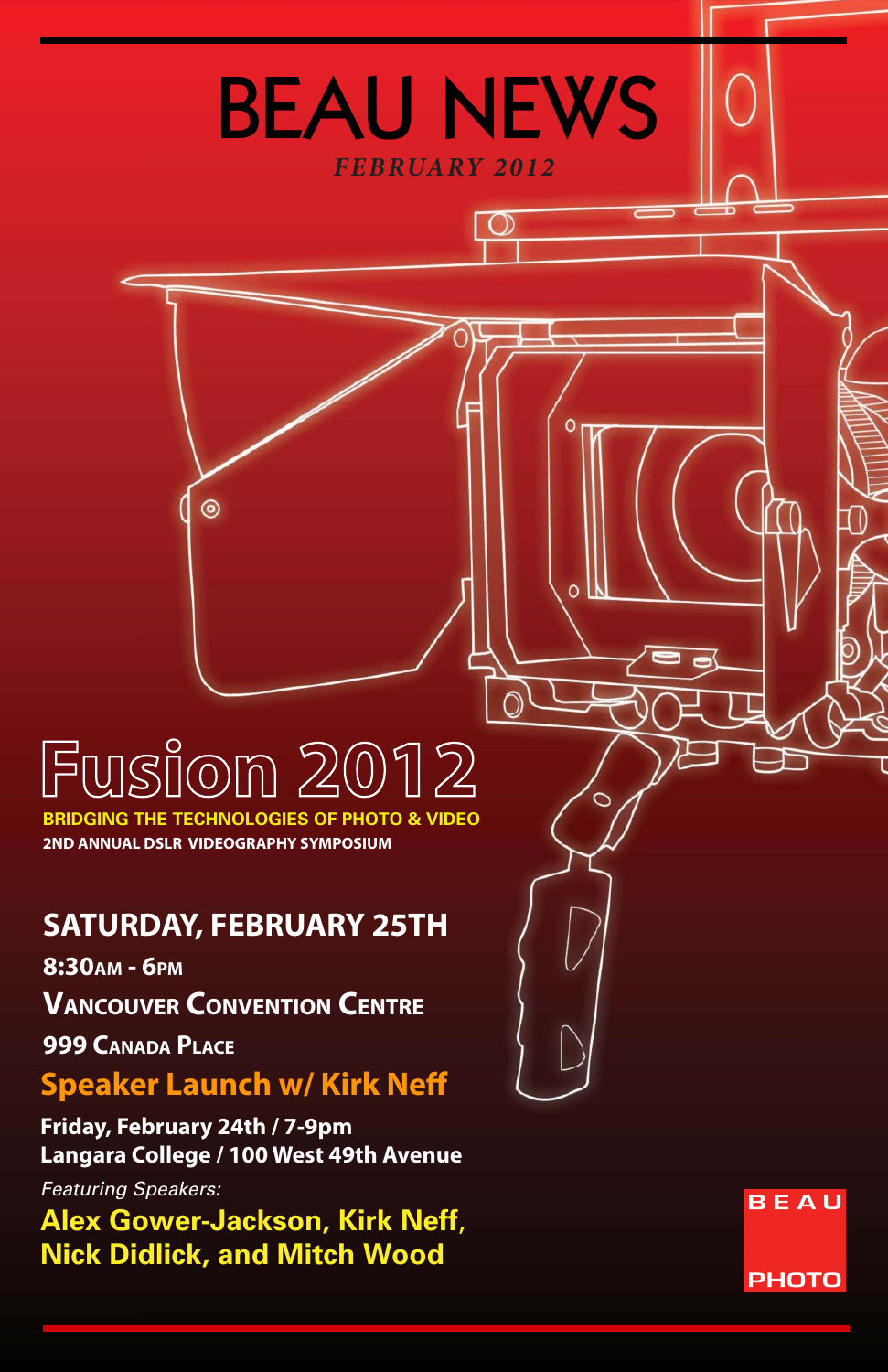# Fusion 2012

 $\circledcirc$ 

*FEBRUARY 2012*

⊙

BEAU NEWS

**2ND ANNUAL DSLR VIDEOGRAPHY SYMPOSIUM BRIDGING THE TECHNOLOGIES OF PHOTO** 

# **SATURDAY, FEBRUARY 25TH**

**8:30am - 6pm**

**Vancouver Convention Centre**

**999 Canada Place** 

# **Speaker Launch w/ Kirk Neff**

**Friday, February 24th / 7-9pm Langara College / 100 West 49th Avenue**

*Featuring Speakers:*

**Alex Gower-Jackson, Kirk Neff**, **Nick Didlick, and Mitch Wood**

**BEAU PHOTO**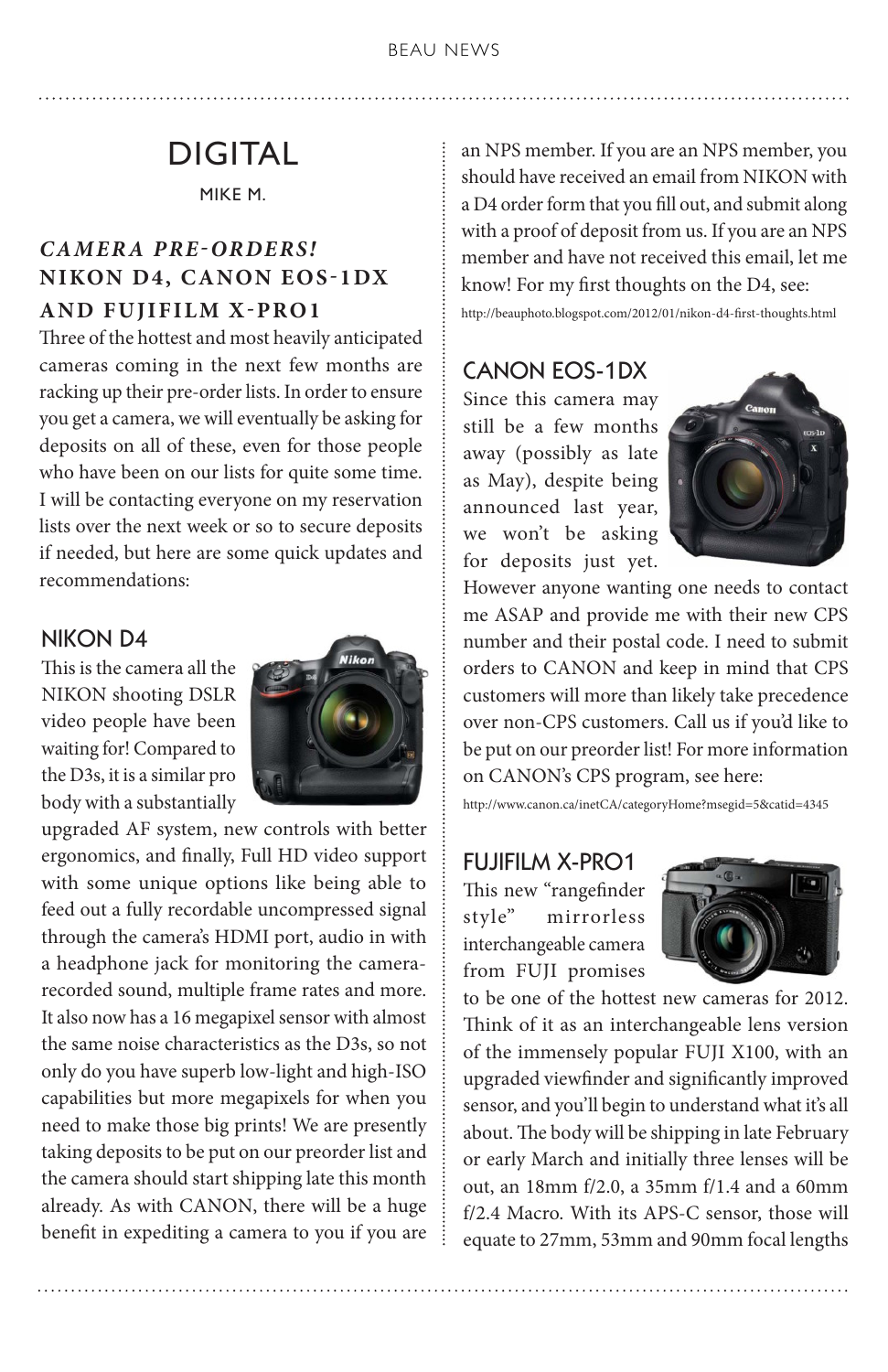# DIGITAL

MIKE M.

# *CAMER A PRE-ORDERS!*  **NIKON D4, CANON EOS-1DX AND FUJIFILM X-PRO1**

Three of the hottest and most heavily anticipated cameras coming in the next few months are racking up their pre-order lists. In order to ensure you get a camera, we will eventually be asking for deposits on all of these, even for those people who have been on our lists for quite some time. I will be contacting everyone on my reservation lists over the next week or so to secure deposits if needed, but here are some quick updates and recommendations:

#### NIKON D4

This is the camera all the NIKON shooting DSLR video people have been waiting for! Compared to the D3s, it is a similar pro body with a substantially



upgraded AF system, new controls with better ergonomics, and finally, Full HD video support with some unique options like being able to feed out a fully recordable uncompressed signal through the camera's HDMI port, audio in with a headphone jack for monitoring the camerarecorded sound, multiple frame rates and more. It also now has a 16 megapixel sensor with almost the same noise characteristics as the D3s, so not only do you have superb low-light and high-ISO capabilities but more megapixels for when you need to make those big prints! We are presently taking deposits to be put on our preorder list and the camera should start shipping late this month already. As with CANON, there will be a huge benefit in expediting a camera to you if you are an NPS member. If you are an NPS member, you should have received an email from NIKON with a D4 order form that you fill out, and submit along with a proof of deposit from us. If you are an NPS member and have not received this email, let me know! For my first thoughts on the D4, see:

http://beauphoto.blogspot.com/2012/01/nikon-d4-first-thoughts.html

## CANON EOS-1DX

Since this camera may still be a few months away (possibly as late as May), despite being announced last year, we won't be asking for deposits just yet.



However anyone wanting one needs to contact me ASAP and provide me with their new CPS number and their postal code. I need to submit orders to CANON and keep in mind that CPS customers will more than likely take precedence over non-CPS customers. Call us if you'd like to be put on our preorder list! For more information on CANON's CPS program, see here:

http://www.canon.ca/inetCA/categoryHome?msegid=5&catid=4345

#### FUJIFILM X-PRO1

This new "rangefinder style" mirrorless interchangeable camera from FUJI promises



to be one of the hottest new cameras for 2012. Think of it as an interchangeable lens version of the immensely popular FUJI X100, with an upgraded viewfinder and significantly improved sensor, and you'll begin to understand what it's all about. The body will be shipping in late February or early March and initially three lenses will be out, an 18mm f/2.0, a 35mm f/1.4 and a 60mm f/2.4 Macro. With its APS-C sensor, those will equate to 27mm, 53mm and 90mm focal lengths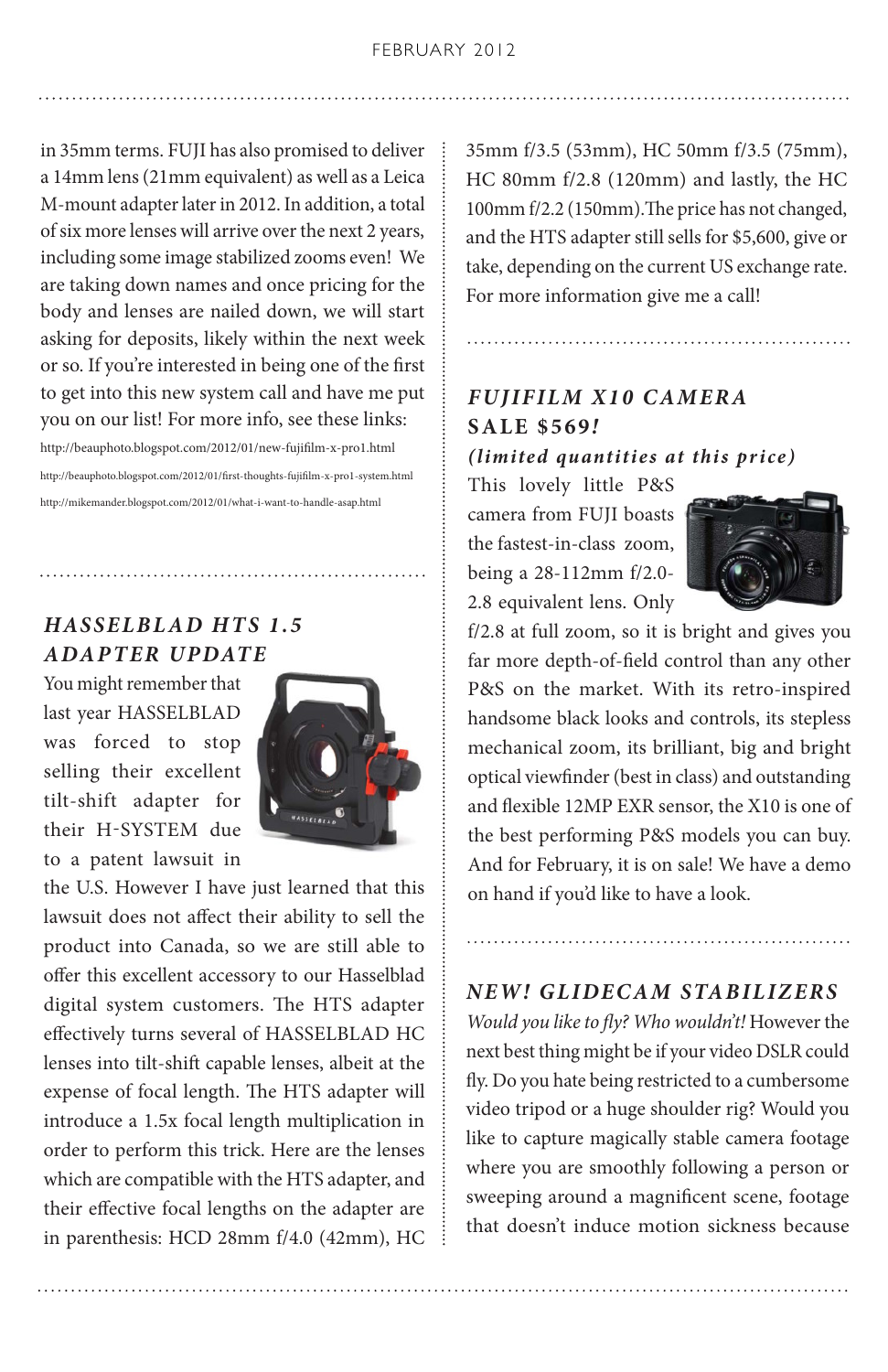in 35mm terms. FUJI has also promised to deliver a 14mm lens (21mm equivalent) as well as a Leica M-mount adapter later in 2012. In addition, a total of six more lenses will arrive over the next 2 years, including some image stabilized zooms even! We are taking down names and once pricing for the body and lenses are nailed down, we will start asking for deposits, likely within the next week or so. If you're interested in being one of the first to get into this new system call and have me put you on our list! For more info, see these links:

http://beauphoto.blogspot.com/2012/01/new-fujifilm-x-pro1.html http://beauphoto.blogspot.com/2012/01/first-thoughts-fujifilm-x-pro1-system.html http://mikemander.blogspot.com/2012/01/what-i-want-to-handle-asap.html

# **HASSELBLAD HTS 1.5** *ADAPTER UPDATE*

You might remember that last year HASSELBLAD was forced to stop selling their excellent tilt-shift adapter for their H-SYSTEM due to a patent lawsuit in



the U.S. However I have just learned that this lawsuit does not affect their ability to sell the product into Canada, so we are still able to offer this excellent accessory to our Hasselblad digital system customers. The HTS adapter effectively turns several of HASSELBLAD HC lenses into tilt-shift capable lenses, albeit at the expense of focal length. The HTS adapter will introduce a 1.5x focal length multiplication in order to perform this trick. Here are the lenses which are compatible with the HTS adapter, and their effective focal lengths on the adapter are in parenthesis: HCD 28mm f/4.0 (42mm), HC 35mm f/3.5 (53mm), HC 50mm f/3.5 (75mm), HC 80mm f/2.8 (120mm) and lastly, the HC 100mm f/2.2 (150mm).The price has not changed, and the HTS adapter still sells for \$5,600, give or take, depending on the current US exchange rate. For more information give me a call!

# *FUJIFILM X10 CAMERA* **SALE \$569***! (limited quantities at this price)*

This lovely little P&S camera from FUJI boasts the fastest-in-class zoom, being a 28-112mm f/2.0- 2.8 equivalent lens. Only



f/2.8 at full zoom, so it is bright and gives you far more depth-of-field control than any other P&S on the market. With its retro-inspired handsome black looks and controls, its stepless mechanical zoom, its brilliant, big and bright optical viewfinder (best in class) and outstanding and flexible 12MP EXR sensor, the X10 is one of the best performing P&S models you can buy. And for February, it is on sale! We have a demo on hand if you'd like to have a look.

#### *NEW! GLIDECAM STABILIZERS*

*Would you like to fly? Who wouldn't!* However the next best thing might be if your video DSLR could fly. Do you hate being restricted to a cumbersome video tripod or a huge shoulder rig? Would you like to capture magically stable camera footage where you are smoothly following a person or sweeping around a magnificent scene, footage that doesn't induce motion sickness because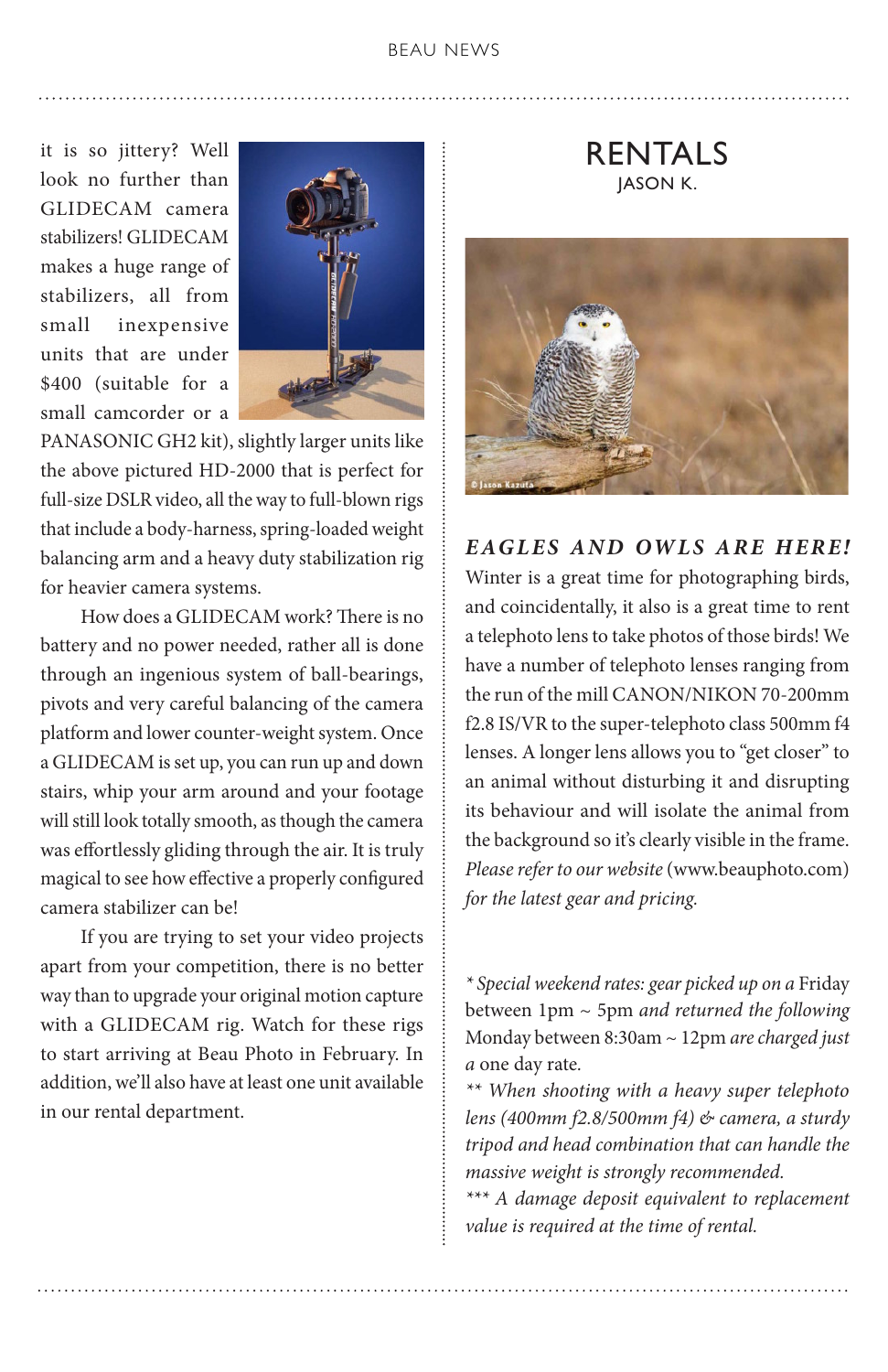it is so jittery? Well look no further than GLIDECAM camera stabilizers! GLIDECAM makes a huge range of stabilizers, all from small inexpensive units that are under \$400 (suitable for a small camcorder or a



PANASONIC GH2 kit), slightly larger units like the above pictured HD-2000 that is perfect for full-size DSLR video, all the way to full-blown rigs that include a body-harness, spring-loaded weight balancing arm and a heavy duty stabilization rig for heavier camera systems.

 How does a GLIDECAM work? There is no battery and no power needed, rather all is done through an ingenious system of ball-bearings, pivots and very careful balancing of the camera platform and lower counter-weight system. Once a GLIDECAM is set up, you can run up and down stairs, whip your arm around and your footage will still look totally smooth, as though the camera was effortlessly gliding through the air. It is truly magical to see how effective a properly configured camera stabilizer can be!

 If you are trying to set your video projects apart from your competition, there is no better way than to upgrade your original motion capture with a GLIDECAM rig. Watch for these rigs to start arriving at Beau Photo in February. In addition, we'll also have at least one unit available in our rental department.

RENTALS **IASON K.** 

*EAGLES AND OWLS ARE HERE!* Winter is a great time for photographing birds, and coincidentally, it also is a great time to rent a telephoto lens to take photos of those birds! We have a number of telephoto lenses ranging from the run of the mill CANON/NIKON 70-200mm f2.8 IS/VR to the super-telephoto class 500mm f4 lenses. A longer lens allows you to "get closer" to an animal without disturbing it and disrupting its behaviour and will isolate the animal from the background so it's clearly visible in the frame. *Please refer to our website* (www.beauphoto.com) *for the latest gear and pricing.*

*\* Special weekend rates: gear picked up on a* Friday between 1pm ~ 5pm *and returned the following*  Monday between 8:30am ~ 12pm *are charged just a* one day rate*.*

*\*\* When shooting with a heavy super telephoto lens (400mm f2.8/500mm f4) & camera, a sturdy tripod and head combination that can handle the massive weight is strongly recommended.*

*\*\*\* A damage deposit equivalent to replacement value is required at the time of rental.*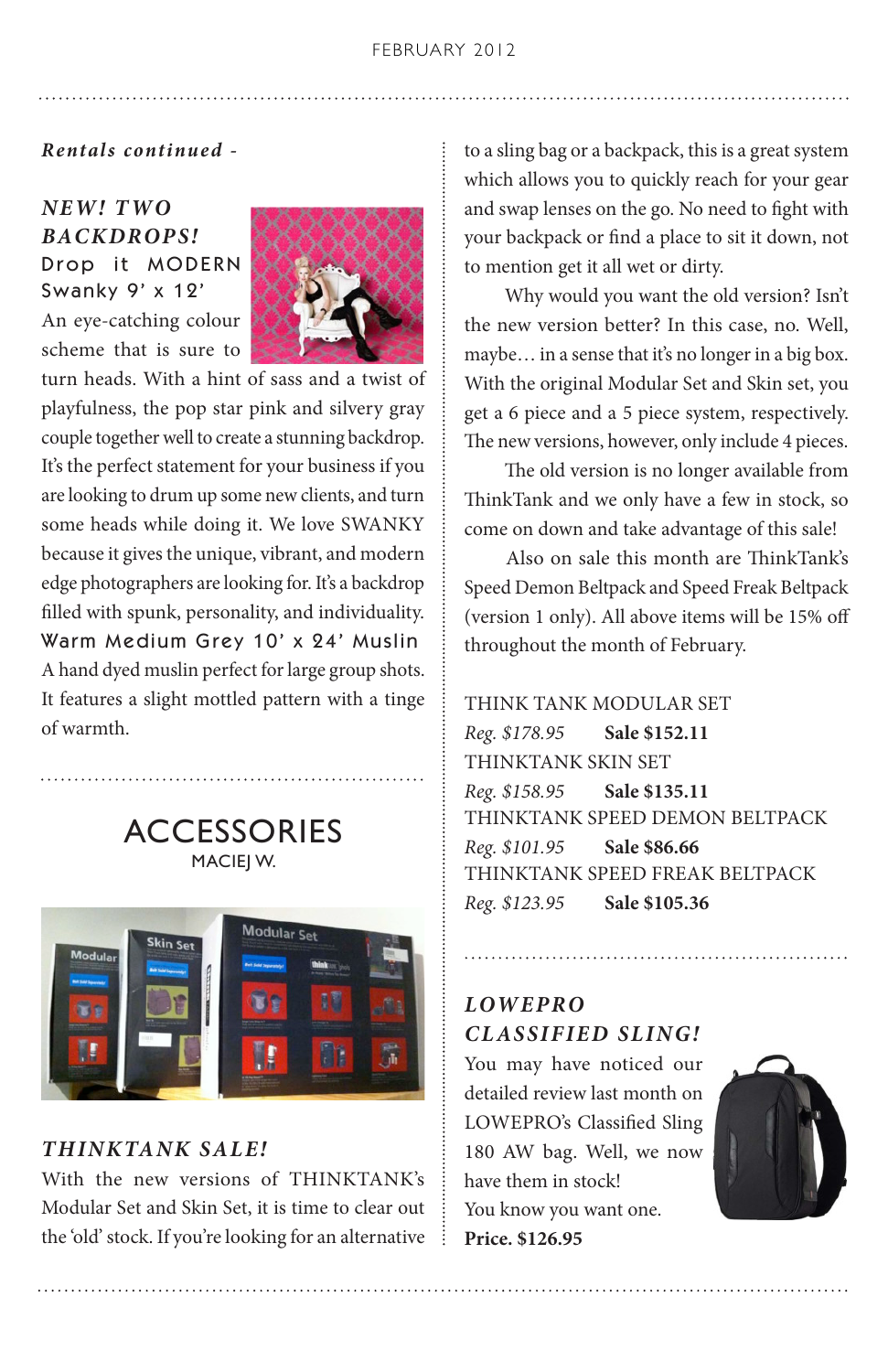#### *Rental s continued -*

# *NEW! T WO BACKDROPS!* Drop it MODERN Swanky 9' x 12'

An eye-catching colour scheme that is sure to



turn heads. With a hint of sass and a twist of playfulness, the pop star pink and silvery gray couple together well to create a stunning backdrop. It's the perfect statement for your business if you are looking to drum up some new clients, and turn some heads while doing it. We love SWANKY because it gives the unique, vibrant, and modern edge photographers are looking for. It's a backdrop filled with spunk, personality, and individuality. Warm Medium Grey 10' x 24' Muslin A hand dyed muslin perfect for large group shots. It features a slight mottled pattern with a tinge of warmth.

> **ACCESSORIES** MACIEJ W.



# *THINKTANK SALE!*

With the new versions of THINKTANK's Modular Set and Skin Set, it is time to clear out the 'old' stock. If you're looking for an alternative to a sling bag or a backpack, this is a great system which allows you to quickly reach for your gear and swap lenses on the go. No need to fight with your backpack or find a place to sit it down, not to mention get it all wet or dirty.

 Why would you want the old version? Isn't the new version better? In this case, no. Well, maybe… in a sense that it's no longer in a big box. With the original Modular Set and Skin set, you get a 6 piece and a 5 piece system, respectively. The new versions, however, only include 4 pieces.

 The old version is no longer available from ThinkTank and we only have a few in stock, so come on down and take advantage of this sale!

 Also on sale this month are ThinkTank's Speed Demon Beltpack and Speed Freak Beltpack (version 1 only). All above items will be 15% off throughout the month of February.

THINK TANK MODULAR SET *Reg. \$178.95* **Sale \$152.11** THINKTANK SKIN SET *Reg. \$158.95* **Sale \$135.11** THINKTANK SPEED DEMON BELTPACK *Reg. \$101.95* **Sale \$86.66** THINKTANK SPEED FREAK BELTPACK *Reg. \$123.95* **Sale \$105.36**

# *LOWEPRO CLASSIFIED SLING!*

You may have noticed our detailed review last month on LOWEPRO's Classified Sling 180 AW bag. Well, we now have them in stock! You know you want one. **Price. \$126.95**

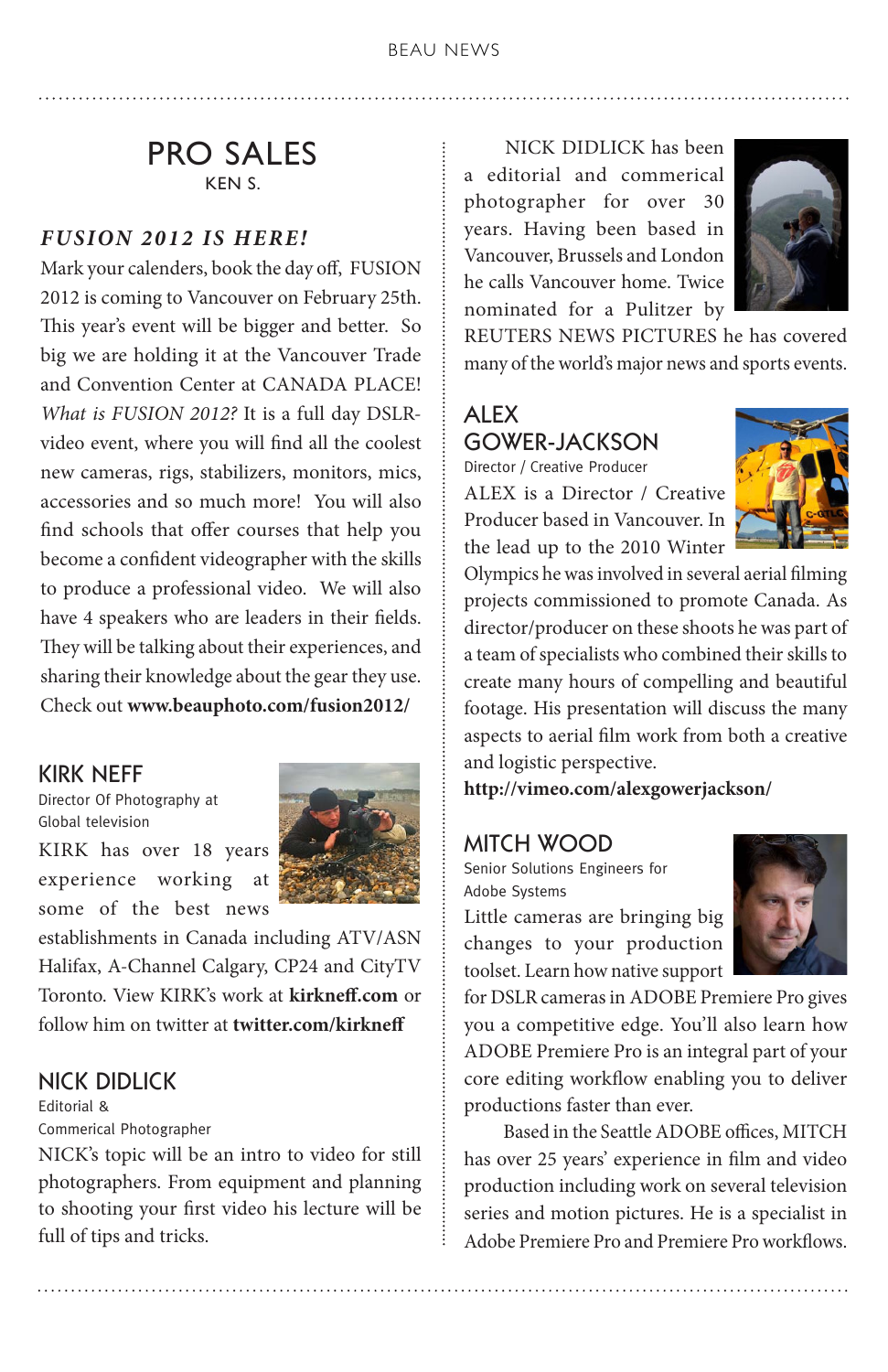# PRO SALES KEN S.

#### *FUSION 2012 IS HERE!*

Mark your calenders, book the day off, FUSION 2012 is coming to Vancouver on February 25th. This year's event will be bigger and better. So big we are holding it at the Vancouver Trade and Convention Center at CANADA PLACE! *What is FUSION 2012?* It is a full day DSLRvideo event, where you will find all the coolest new cameras, rigs, stabilizers, monitors, mics, accessories and so much more! You will also find schools that offer courses that help you become a confident videographer with the skills to produce a professional video. We will also have 4 speakers who are leaders in their fields. They will be talking about their experiences, and sharing their knowledge about the gear they use. Check out **[www.beauphoto.com/fusion2012/](http://www.beauphoto.com/fusion2012/)**

#### KIRK NEFF

Director Of Photography at Global television

KIRK has over 18 years experience working at some of the best news



establishments in Canada including ATV/ASN Halifax, A-Channel Calgary, CP24 and CityTV Toronto. View KIRK's work at **[kirkneff.com](http://www.kirkneff.com)** or follow him on twitter at **[twitter.com/kirkneff](http://twitter.com/kirkneff)**

## NICK DIDLICK

Editorial & Commerical Photographer

NICK's topic will be an intro to video for still photographers. From equipment and planning to shooting your first video his lecture will be full of tips and tricks.

 NICK DIDLICK has been a editorial and commerical photographer for over 30 years. Having been based in Vancouver, Brussels and London he calls Vancouver home. Twice nominated for a Pulitzer by



REUTERS NEWS PICTURES he has covered many of the world's major news and sports events.

#### ALEX GOWER-JACKSON Director / Creative Producer

ALEX is a Director / Creative Producer based in Vancouver. In the lead up to the 2010 Winter



Olympics he was involved in several aerial filming projects commissioned to promote Canada. As director/producer on these shoots he was part of a team of specialists who combined their skills to create many hours of compelling and beautiful footage. His presentation will discuss the many aspects to aerial film work from both a creative and logistic perspective.

**<http://vimeo.com/alexgowerjackson/>**

#### MITCH WOOD

Senior Solutions Engineers for Adobe Systems

Little cameras are bringing big changes to your production toolset. Learn how native support



for DSLR cameras in ADOBE Premiere Pro gives you a competitive edge. You'll also learn how ADOBE Premiere Pro is an integral part of your core editing workflow enabling you to deliver productions faster than ever.

 Based in the Seattle ADOBE offices, MITCH has over 25 years' experience in film and video production including work on several television series and motion pictures. He is a specialist in Adobe Premiere Pro and Premiere Pro workflows.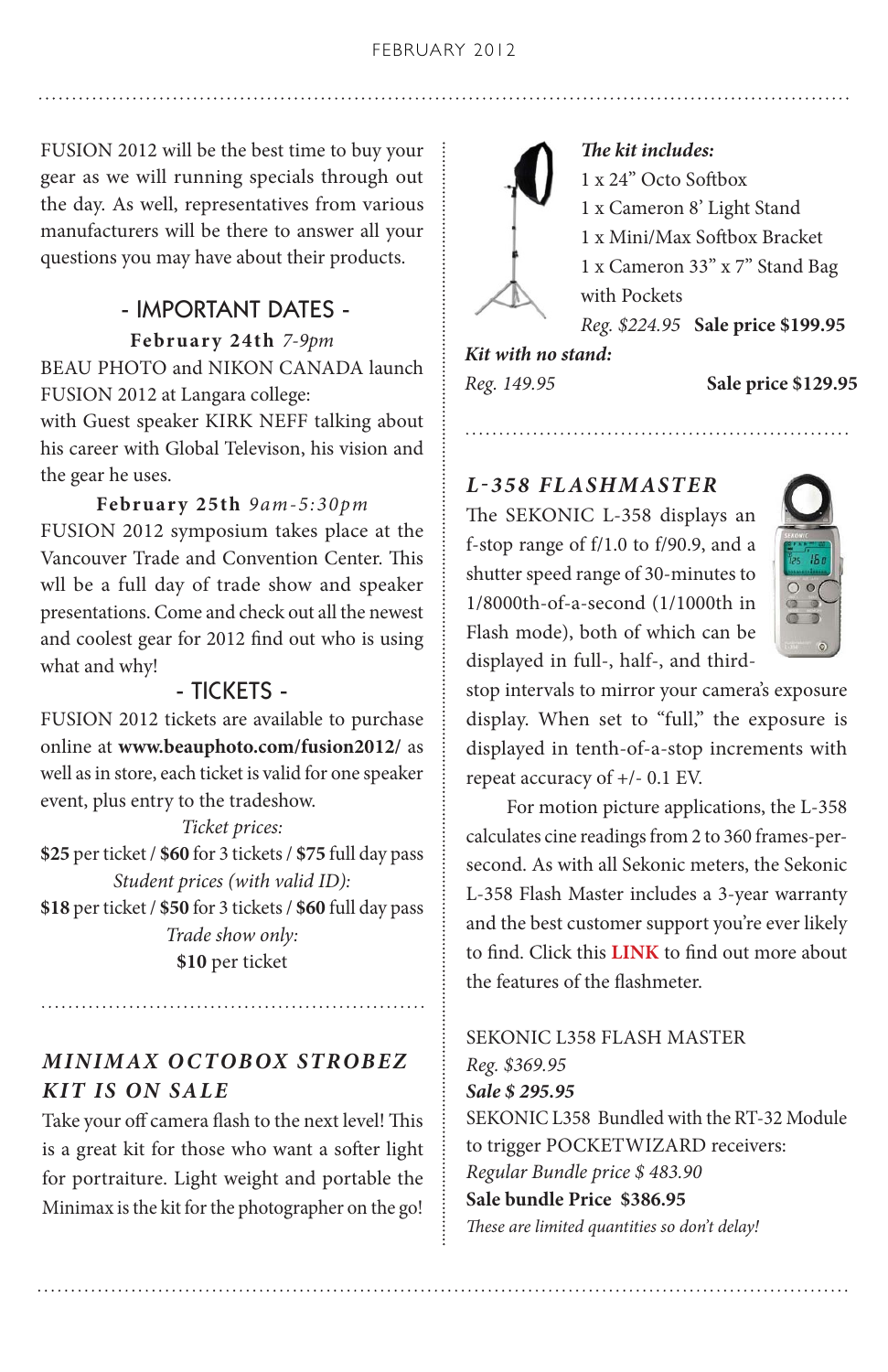FUSION 2012 will be the best time to buy your gear as we will running specials through out the day. As well, representatives from various manufacturers will be there to answer all your questions you may have about their products.

#### - IMPORTANT DATES -

**February 24th** *7-9pm* BEAU PHOTO and NIKON CANADA launch FUSION 2012 at Langara college:

with Guest speaker KIRK NEFF talking about his career with Global Televison, his vision and the gear he uses.

**February 25th** *9am-5:30pm* FUSION 2012 symposium takes place at the Vancouver Trade and Convention Center. This wll be a full day of trade show and speaker presentations. Come and check out all the newest and coolest gear for 2012 find out who is using what and why!

#### - TICKETS -

FUSION 2012 tickets are available to purchase online at **[www.beauphoto.com/fusion2012/](http://www.beauphoto.com/fusion2012/)** as well as in store, each ticket is valid for one speaker event, plus entry to the tradeshow.

*Ticket prices:*

**\$25** per ticket / **\$60** for 3 tickets / **\$75** full day pass *Student prices (with valid ID):*

**\$18** per ticket / **\$50** for 3 tickets / **\$60** full day pass *Trade show only:*

**\$10** per ticket

# *MINIMAX O CTOBOX STROBEZ KIT IS ON SALE*

Take your off camera flash to the next level! This is a great kit for those who want a softer light for portraiture. Light weight and portable the Minimax is the kit for the photographer on the go!



*The kit includes:* 1 x 24" Octo Softbox 1 x Cameron 8' Light Stand 1 x Mini/Max Softbox Bracket 1 x Cameron 33" x 7" Stand Bag with Pockets *Reg. \$224.95* **Sale price \$199.95** *Kit with no stand:* 

*Reg. 149.95* **Sale price \$129.95**

# *L-358 FLASHMASTER*

The SEKONIC L-358 displays an f-stop range of f/1.0 to f/90.9, and a shutter speed range of 30-minutes to 1/8000th-of-a-second (1/1000th in Flash mode), both of which can be displayed in full-, half-, and third-



stop intervals to mirror your camera's exposure display. When set to "full," the exposure is displayed in tenth-of-a-stop increments with repeat accuracy of +/- 0.1 EV.

 For motion picture applications, the L-358 calculates cine readings from 2 to 360 frames-persecond. As with all Sekonic meters, the Sekonic L-358 Flash Master includes a 3-year warranty and the best customer support you're ever likely to find. Click this **[LINK](http://www.sekonic.com/Products/L-358/Features.aspx)** to find out more about the features of the flashmeter.

SEKONIC L358 FLASH MASTER *Reg. \$369.95 Sale \$ 295.95* SEKONIC L358 Bundled with the RT-32 Module to trigger POCKETWIZARD receivers: *Regular Bundle price \$ 483.90* **Sale bundle Price \$386.95** *These are limited quantities so don't delay!*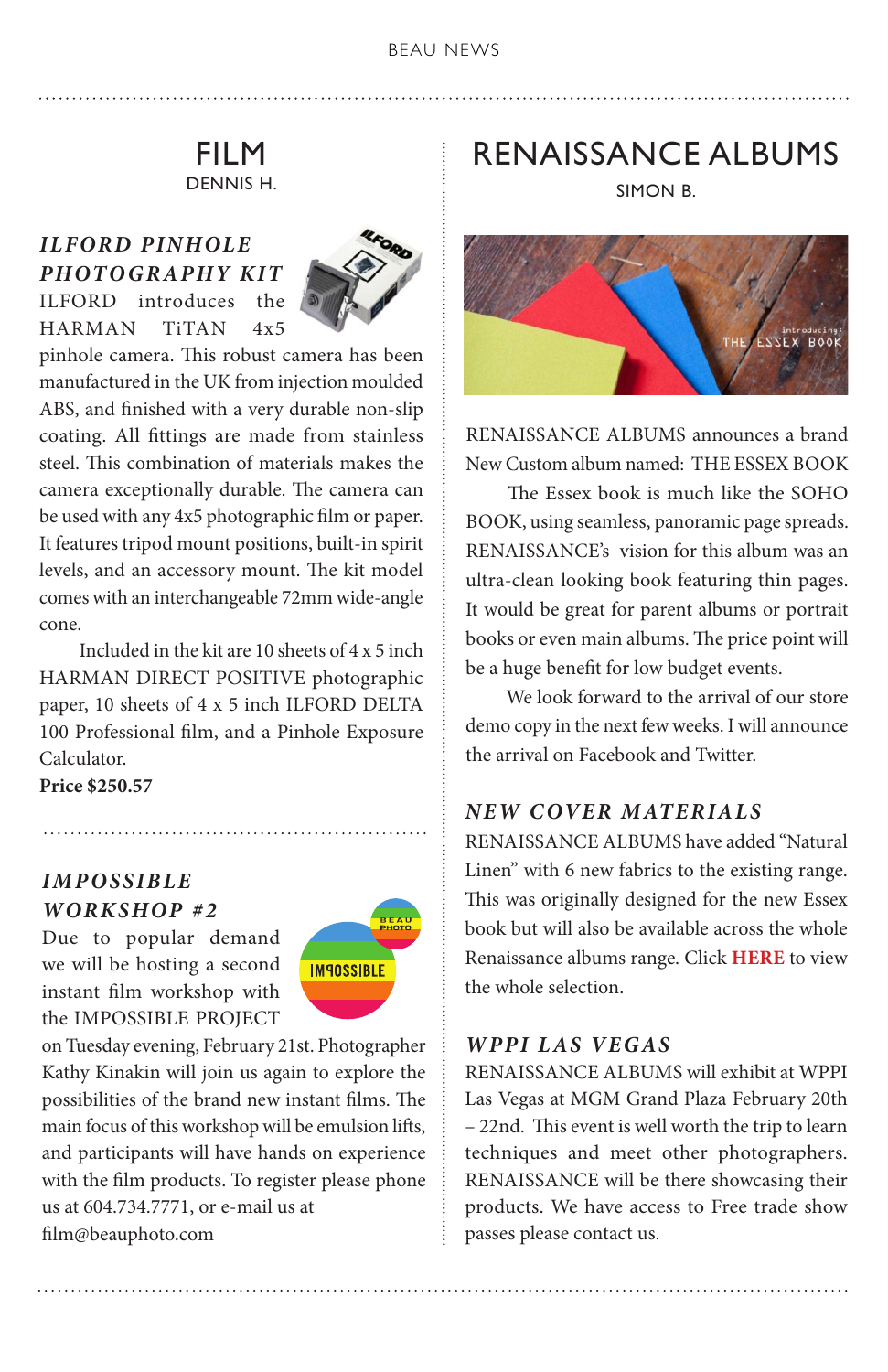# FILM DENNIS H.

# *ILFORD PINHOLE PHOTOGRAPHY KIT*



ILFORD introduces the HARMAN TiTAN 4x5

pinhole camera. This robust camera has been manufactured in the UK from injection moulded ABS, and finished with a very durable non-slip coating. All fittings are made from stainless steel. This combination of materials makes the camera exceptionally durable. The camera can be used with any 4x5 photographic film or paper. It features tripod mount positions, built-in spirit levels, and an accessory mount. The kit model comes with an interchangeable 72mm wide-angle cone.

 Included in the kit are 10 sheets of 4 x 5 inch HARMAN DIRECT POSITIVE photographic paper, 10 sheets of 4 x 5 inch ILFORD DELTA 100 Professional film, and a Pinhole Exposure Calculator.

**Price \$250.57**

# *IMPOSSIBLE WORKSHOP #2*

Due to popular demand we will be hosting a second instant film workshop with the IMPOSSIBLE PROJECT



on Tuesday evening, February 21st. Photographer Kathy Kinakin will join us again to explore the possibilities of the brand new instant films. The main focus of this workshop will be emulsion lifts, and participants will have hands on experience with the film products. To register please phone us at 604.734.7771, or e-mail us at [film@beauphoto.com](mailto:film@beauphoto.com)

# RENAISSANCE ALBUMS

SIMON B.



RENAISSANCE ALBUMS announces a brand New Custom album named: THE ESSEX BOOK

 The Essex book is much like the SOHO BOOK, using seamless, panoramic page spreads. RENAISSANCE's vision for this album was an ultra-clean looking book featuring thin pages. It would be great for parent albums or portrait books or even main albums. The price point will be a huge benefit for low budget events.

We look forward to the arrival of our store demo copy in the next few weeks. I will announce the arrival on Facebook and Twitter.

# *NEW COVER MATERIALS*

RENAISSANCE ALBUMS have added "Natural Linen" with 6 new fabrics to the existing range. This was originally designed for the new Essex book but will also be available across the whole Renaissance albums range. Click **[HERE](http://www.renaissancealbums.com/RA/wordpress/?page_id=3386)** to view the whole selection.

#### *WPPI LAS VEGAS*

RENAISSANCE ALBUMS will exhibit at WPPI Las Vegas at MGM Grand Plaza February 20th – 22nd. This event is well worth the trip to learn techniques and meet other photographers. RENAISSANCE will be there showcasing their products. We have access to Free trade show passes please contact us.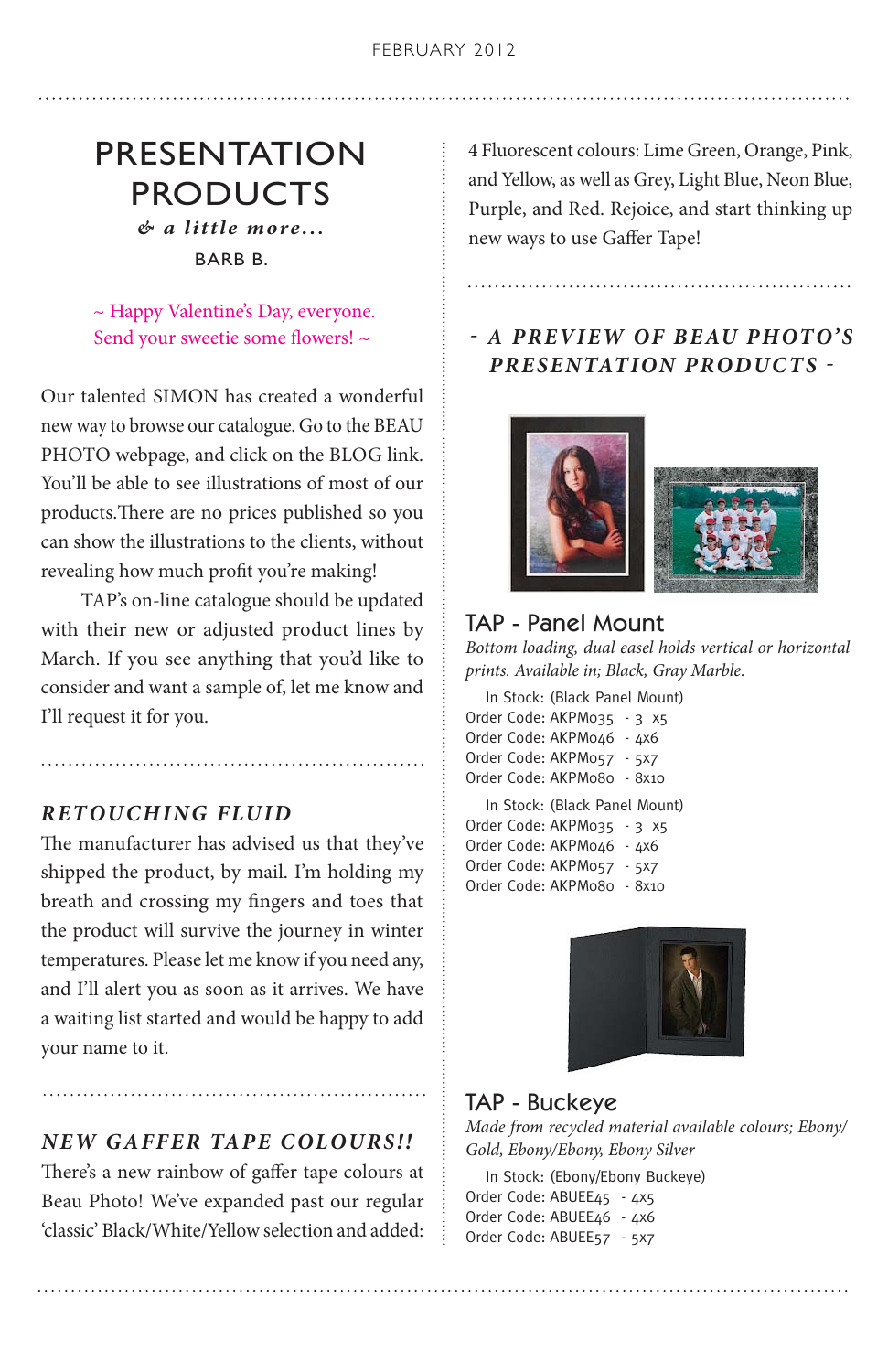# PRESENTATION PRODUCTS *& a little more...*

BARB B.

 ~ Happy Valentine's Day, everyone. Send your sweetie some flowers! ~

Our talented SIMON has created a wonderful new way to browse our catalogue. Go to the BEAU PHOTO webpage, and click on the BLOG link. You'll be able to see illustrations of most of our products.There are no prices published so you can show the illustrations to the clients, without revealing how much profit you're making!

 TAP's on-line catalogue should be updated with their new or adjusted product lines by March. If you see anything that you'd like to consider and want a sample of, let me know and I'll request it for you.

#### *RETOUCHING FLUID*

The manufacturer has advised us that they've shipped the product, by mail. I'm holding my breath and crossing my fingers and toes that the product will survive the journey in winter temperatures. Please let me know if you need any, and I'll alert you as soon as it arrives. We have a waiting list started and would be happy to add your name to it.

#### *NEW GAFFER TAPE COLOURS!!*

There's a new rainbow of gaffer tape colours at Beau Photo! We've expanded past our regular 'classic' Black/White/Yellow selection and added: 4 Fluorescent colours: Lime Green, Orange, Pink, and Yellow, as well as Grey, Light Blue, Neon Blue, Purple, and Red. Rejoice, and start thinking up new ways to use Gaffer Tape!

*- A PREVIEW OF BEAU PHOTO'S PRESENTATION PRODUCTS -*



# TAP - Panel Mount

*Bottom loading, dual easel holds vertical or horizontal prints. Available in; Black, Gray Marble.* 

In Stock: (Black Panel Mount) Order Code: AKPM035 - 3 x5 Order Code: AKPM046 - 4x6 Order Code: AKPM057 - 5x7 Order Code: AKPM080 - 8x10

In Stock: (Black Panel Mount) Order Code: AKPM035 - 3 x5 Order Code: AKPM046 - 4x6 Order Code: AKPM057 - 5x7 Order Code: AKPM080 - 8x10



#### TAP - Buckeye

*Made from recycled material available colours; Ebony/ Gold, Ebony/Ebony, Ebony Silver*

In Stock: (Ebony/Ebony Buckeye) Order Code: ABUEE45 - 4x5 Order Code: ABUEE46 - 4x6 Order Code: ABUEE57 - 5x7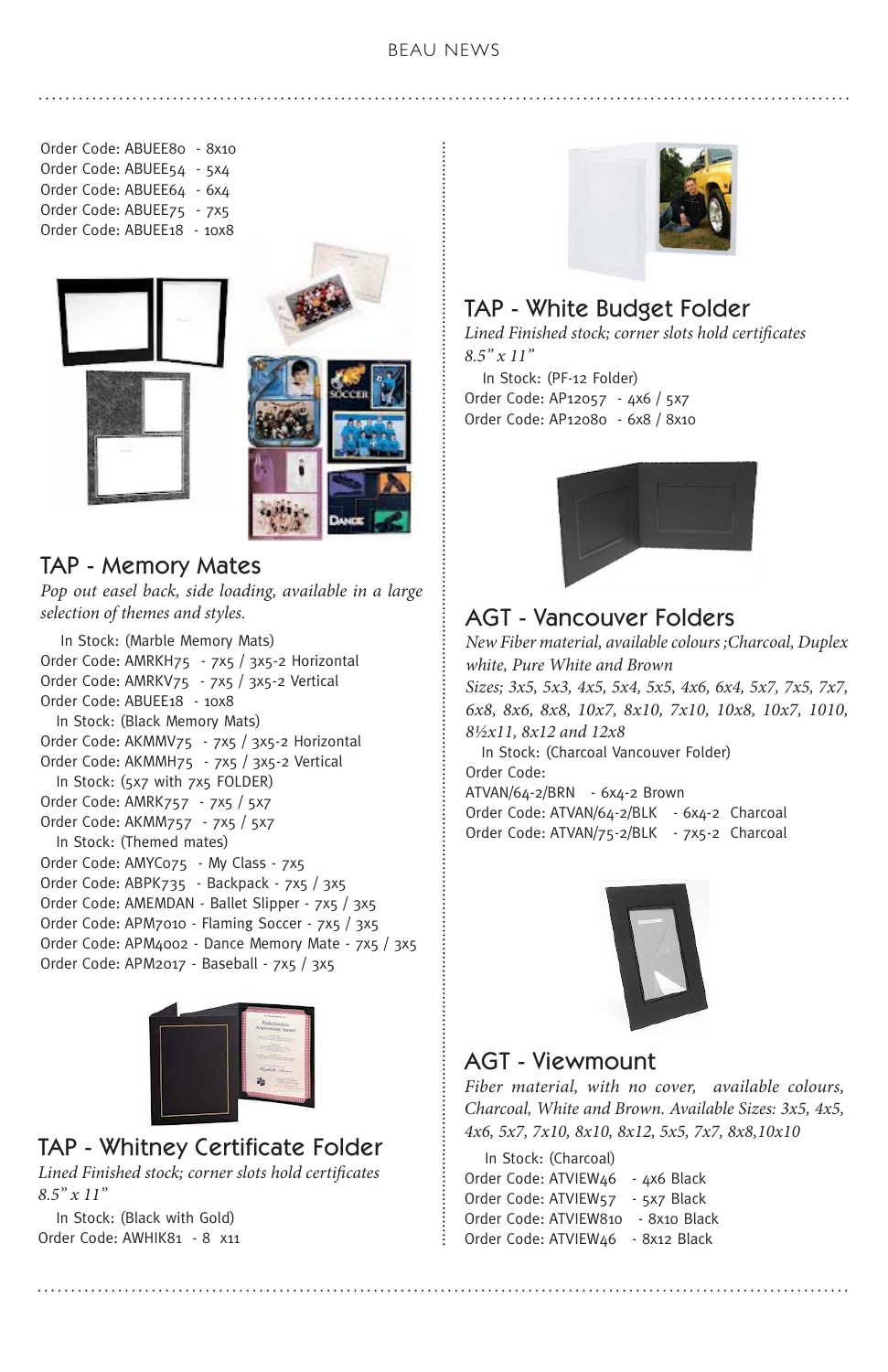#### BEAU NEWS

Order Code: ABUEE80 - 8x10 Order Code: ABUEE54 - 5x4 Order Code: ABUEE64 - 6x4 Order Code: ABUEE75 - 7x5 Order Code: ABUEE18 - 10x8





## TAP - Memory Mates

*Pop out easel back, side loading, available in a large selection of themes and styles.*

In Stock: (Marble Memory Mats) Order Code: AMRKH75 - 7x5 / 3x5-2 Horizontal Order Code: AMRKV75 - 7x5 / 3x5-2 Vertical Order Code: ABUEE18 - 10x8 In Stock: (Black Memory Mats) Order Code: AKMMV75 - 7x5 / 3x5-2 Horizontal Order Code: AKMMH75 - 7x5 / 3x5-2 Vertical In Stock: (5x7 with 7x5 FOLDER) Order Code: AMRK757 - 7x5 / 5x7 Order Code: AKMM757 - 7x5 / 5x7 In Stock: (Themed mates) Order Code: AMYC075 - My Class - 7x5 Order Code: ABPK735 - Backpack - 7x5 / 3x5 Order Code: AMEMDAN - Ballet Slipper - 7x5 / 3x5 Order Code: APM7010 - Flaming Soccer - 7x5 / 3x5 Order Code: APM4002 - Dance Memory Mate - 7x5 / 3x5 Order Code: APM2017 - Baseball - 7x5 / 3x5



# TAP - Whitney Certificate Folder

*Lined Finished stock; corner slots hold certificates 8.5" x 11"*

In Stock: (Black with Gold) Order Code: AWHIK81 - 8 x11



# TAP - White Budget Folder

*Lined Finished stock; corner slots hold certificates 8.5" x 11"*

In Stock: (PF-12 Folder) Order Code: AP12057 - 4x6 / 5x7 Order Code: AP12080 - 6x8 / 8x10



# AGT - Vancouver Folders

*New Fiber material, available colours ;Charcoal, Duplex white, Pure White and Brown Sizes; 3x5, 5x3, 4x5, 5x4, 5x5, 4x6, 6x4, 5x7, 7x5, 7x7, 6x8, 8x6, 8x8, 10x7, 8x10, 7x10, 10x8, 10x7, 1010, 8½x11, 8x12 and 12x8* In Stock: (Charcoal Vancouver Folder)

Order Code: ATVAN/64-2/BRN - 6x4-2 Brown Order Code: ATVAN/64-2/BLK - 6x4-2 Charcoal Order Code: ATVAN/75-2/BLK - 7x5-2 Charcoal



## AGT - Viewmount

*Fiber material, with no cover, available colours, Charcoal, White and Brown. Available Sizes: 3x5, 4x5, 4x6, 5x7, 7x10, 8x10, 8x12, 5x5, 7x7, 8x8,10x10*

In Stock: (Charcoal) Order Code: ATVIEW46 - 4x6 Black Order Code: ATVIEW57 - 5x7 Black Order Code: ATVIEW810 - 8x10 Black Order Code: ATVIEW46 - 8x12 Black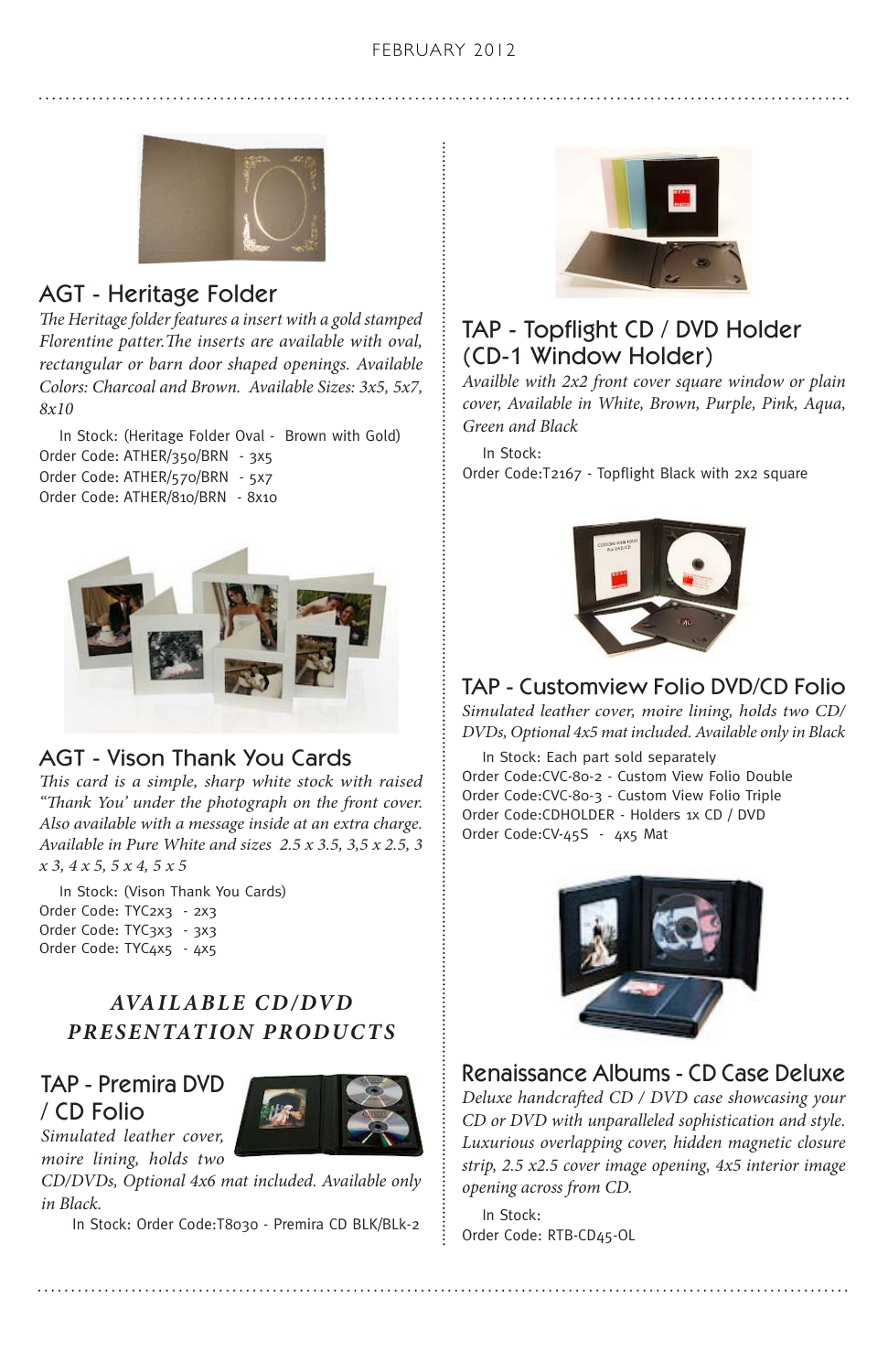

# AGT - Heritage Folder

*The Heritage folder features a insert with a gold stamped Florentine patter.The inserts are available with oval, rectangular or barn door shaped openings. Available Colors: Charcoal and Brown. Available Sizes: 3x5, 5x7, 8x10*

In Stock: (Heritage Folder Oval - Brown with Gold) Order Code: ATHER/350/BRN - 3x5 Order Code: ATHER/570/BRN - 5x7 Order Code: ATHER/810/BRN - 8x10



# AGT - Vison Thank You Cards

*This card is a simple, sharp white stock with raised "Thank You' under the photograph on the front cover. Also available with a message inside at an extra charge. Available in Pure White and sizes 2.5 x 3.5, 3,5 x 2.5, 3 x 3, 4 x 5, 5 x 4, 5 x 5*

In Stock: (Vison Thank You Cards) Order Code: TYC2x3 - 2x3 Order Code: TYC3x3 - 3x3 Order Code: TYC4x5 - 4x5

# $AVAILABLE$  CD/DVD *PRESENTATION PRODUCTS*

#### TAP - Premira DVD / CD Folio *Simulated leather cover,*



*moire lining, holds two CD/DVDs, Optional 4x6 mat included. Available only in Black.*

In Stock: Order Code:T8030 - Premira CD BLK/BLk-2



# TAP - Topflight CD / DVD Holder (CD-1 Window Holder)

*Availble with 2x2 front cover square window or plain cover, Available in White, Brown, Purple, Pink, Aqua, Green and Black* 

In Stock: Order Code:T2167 - Topflight Black with 2x2 square



# TAP - Customview Folio DVD/CD Folio

*Simulated leather cover, moire lining, holds two CD/ DVDs, Optional 4x5 mat included. Available only in Black* 

In Stock: Each part sold separately Order Code:CVC-80-2 - Custom View Folio Double Order Code:CVC-80-3 - Custom View Folio Triple Order Code:CDHOLDER - Holders 1x CD / DVD Order Code:CV-45S - 4x5 Mat



# Renaissance Albums - CD Case Deluxe

*Deluxe handcrafted CD / DVD case showcasing your CD or DVD with unparalleled sophistication and style. Luxurious overlapping cover, hidden magnetic closure strip, 2.5 x2.5 cover image opening, 4x5 interior image opening across from CD.*

In Stock: Order Code: RTB-CD45-OL